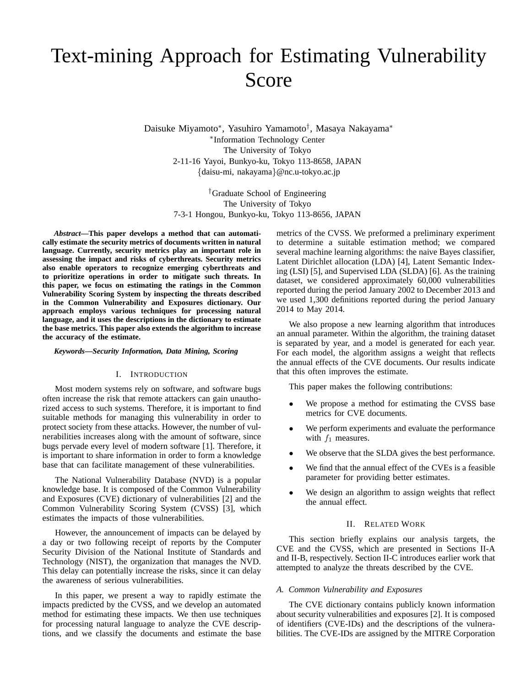# Text-mining Approach for Estimating Vulnerability Score

Daisuke Miyamoto*∗* , Yasuhiro Yamamoto*†* , Masaya Nakayama*∗ ∗* Information Technology Center The University of Tokyo 2-11-16 Yayoi, Bunkyo-ku, Tokyo 113-8658, JAPAN *{*daisu-mi, nakayama*}*@nc.u-tokyo.ac.jp

> *†*Graduate School of Engineering The University of Tokyo 7-3-1 Hongou, Bunkyo-ku, Tokyo 113-8656, JAPAN

*Abstract***—This paper develops a method that can automatically estimate the security metrics of documents written in natural language. Currently, security metrics play an important role in assessing the impact and risks of cyberthreats. Security metrics also enable operators to recognize emerging cyberthreats and to prioritize operations in order to mitigate such threats. In this paper, we focus on estimating the ratings in the Common Vulnerability Scoring System by inspecting the threats described in the Common Vulnerability and Exposures dictionary. Our approach employs various techniques for processing natural language, and it uses the descriptions in the dictionary to estimate the base metrics. This paper also extends the algorithm to increase the accuracy of the estimate.**

# *Keywords***—***Security Information, Data Mining, Scoring*

# I. INTRODUCTION

Most modern systems rely on software, and software bugs often increase the risk that remote attackers can gain unauthorized access to such systems. Therefore, it is important to find suitable methods for managing this vulnerability in order to protect society from these attacks. However, the number of vulnerabilities increases along with the amount of software, since bugs pervade every level of modern software [1]. Therefore, it is important to share information in order to form a knowledge base that can facilitate management of these vulnerabilities.

The National Vulnerability Database (NVD) is a popular knowledge base. It is composed of the Common Vulnerability and Exposures (CVE) dictionary of vulnerabilities [2] and the Common Vulnerability Scoring System (CVSS) [3], which estimates the impacts of those vulnerabilities.

However, the announcement of impacts can be delayed by a day or two following receipt of reports by the Computer Security Division of the National Institute of Standards and Technology (NIST), the organization that manages the NVD. This delay can potentially increase the risks, since it can delay the awareness of serious vulnerabilities.

In this paper, we present a way to rapidly estimate the impacts predicted by the CVSS, and we develop an automated method for estimating these impacts. We then use techniques for processing natural language to analyze the CVE descriptions, and we classify the documents and estimate the base metrics of the CVSS. We preformed a preliminary experiment to determine a suitable estimation method; we compared several machine learning algorithms: the naive Bayes classifier, Latent Dirichlet allocation (LDA) [4], Latent Semantic Indexing (LSI) [5], and Supervised LDA (SLDA) [6]. As the training dataset, we considered approximately 60,000 vulnerabilities reported during the period January 2002 to December 2013 and we used 1,300 definitions reported during the period January 2014 to May 2014.

We also propose a new learning algorithm that introduces an annual parameter. Within the algorithm, the training dataset is separated by year, and a model is generated for each year. For each model, the algorithm assigns a weight that reflects the annual effects of the CVE documents. Our results indicate that this often improves the estimate.

This paper makes the following contributions:

- We propose a method for estimating the CVSS base metrics for CVE documents.
- We perform experiments and evaluate the performance with  $f_1$  measures.
- We observe that the SLDA gives the best performance.
- We find that the annual effect of the CVEs is a feasible parameter for providing better estimates.
- We design an algorithm to assign weights that reflect the annual effect.

## II. RELATED WORK

This section briefly explains our analysis targets, the CVE and the CVSS, which are presented in Sections II-A and II-B, respectively. Section II-C introduces earlier work that attempted to analyze the threats described by the CVE.

#### *A. Common Vulnerability and Exposures*

The CVE dictionary contains publicly known information about security vulnerabilities and exposures [2]. It is composed of identifiers (CVE-IDs) and the descriptions of the vulnerabilities. The CVE-IDs are assigned by the MITRE Corporation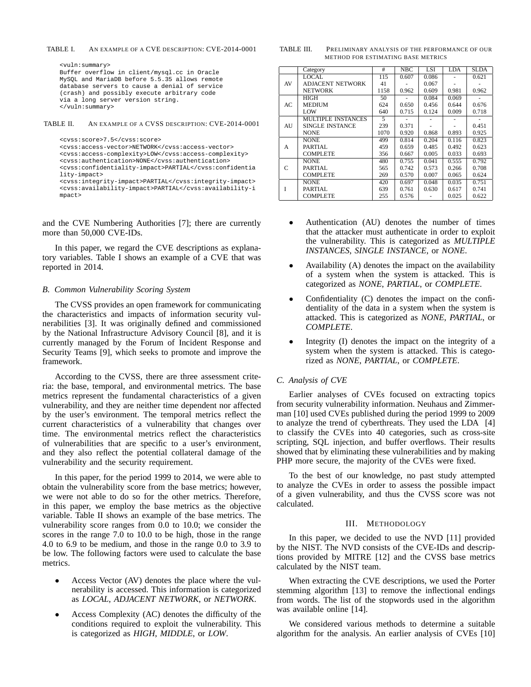TABLE I. AN EXAMPLE OF A CVE DESCRIPTION: CVE-2014-0001

<vuln:summary> Buffer overflow in client/mysql.cc in Oracle MySQL and MariaDB before 5.5.35 allows remote database servers to cause a denial of service (crash) and possibly execute arbitrary code via a long server version string. </vuln:summary>

TABLE II. AN EXAMPLE OF A CVSS DESCRIPTION: CVE-2014-0001

```
<cvss:score>7.5</cvss:score>
<cvss:access-vector>NETWORK</cvss:access-vector>
<cvss:access-complexity>LOW</cvss:access-complexity>
<cvss:authentication>NONE</cvss:authentication>
<cvss:confidentiality-impact>PARTIAL</cvss:confidentia
lity-impact>
<cvss:integrity-impact>PARTIAL</cvss:integrity-impact>
<cvss:availability-impact>PARTIAL</cvss:availability-i
mpact>
```
and the CVE Numbering Authorities [7]; there are currently more than 50,000 CVE-IDs.

In this paper, we regard the CVE descriptions as explanatory variables. Table I shows an example of a CVE that was reported in 2014.

## *B. Common Vulnerability Scoring System*

The CVSS provides an open framework for communicating the characteristics and impacts of information security vulnerabilities [3]. It was originally defined and commissioned by the National Infrastructure Advisory Council [8], and it is currently managed by the Forum of Incident Response and Security Teams [9], which seeks to promote and improve the framework.

According to the CVSS, there are three assessment criteria: the base, temporal, and environmental metrics. The base metrics represent the fundamental characteristics of a given vulnerability, and they are neither time dependent nor affected by the user's environment. The temporal metrics reflect the current characteristics of a vulnerability that changes over time. The environmental metrics reflect the characteristics of vulnerabilities that are specific to a user's environment, and they also reflect the potential collateral damage of the vulnerability and the security requirement.

In this paper, for the period 1999 to 2014, we were able to obtain the vulnerability score from the base metrics; however, we were not able to do so for the other metrics. Therefore, in this paper, we employ the base metrics as the objective variable. Table II shows an example of the base metrics. The vulnerability score ranges from 0.0 to 10.0; we consider the scores in the range 7.0 to 10.0 to be high, those in the range 4.0 to 6.9 to be medium, and those in the range 0.0 to 3.9 to be low. The following factors were used to calculate the base metrics.

- *•* Access Vector (AV) denotes the place where the vulnerability is accessed. This information is categorized as *LOCAL*, *ADJACENT NETWORK*, or *NETWORK*.
- *•* Access Complexity (AC) denotes the difficulty of the conditions required to exploit the vulnerability. This is categorized as *HIGH*, *MIDDLE*, or *LOW*.

| TABLE III. | PRELIMINARY ANALYSIS OF THE PERFORMANCE OF OUR |
|------------|------------------------------------------------|
|            | METHOD FOR ESTIMATING BASE METRICS             |

|     | Category                | #    | NBC   | <b>LSI</b> | LDA   | <b>SLDA</b> |
|-----|-------------------------|------|-------|------------|-------|-------------|
|     |                         |      |       |            |       |             |
|     | <b>LOCAL</b>            | 115  | 0.607 | 0.086      |       | 0.621       |
| AV  | <b>ADJACENT NETWORK</b> | 41   |       | 0.067      |       |             |
|     | NETWORK                 | 1158 | 0.962 | 0.609      | 0.981 | 0.962       |
|     | HIGH                    | 50   |       | 0.084      | 0.069 |             |
| AC. | <b>MEDIUM</b>           | 624  | 0.650 | 0.456      | 0.644 | 0.676       |
|     | <b>LOW</b>              | 640  | 0.715 | 0.124      | 0.009 | 0.718       |
|     | MULTIPLE INSTANCES      | 5    |       |            |       |             |
| AU  | SINGLE INSTANCE         | 239  | 0.371 |            |       | 0.451       |
|     | <b>NONE</b>             | 1070 | 0.920 | 0.868      | 0.893 | 0.925       |
|     | <b>NONE</b>             | 499  | 0.814 | 0.204      | 0.116 | 0.823       |
| A   | PARTIAL                 | 459  | 0.659 | 0.485      | 0.492 | 0.623       |
|     | <b>COMPLETE</b>         | 356  | 0.667 | 0.005      | 0.033 | 0.693       |
|     | <b>NONE</b>             | 480  | 0.755 | 0.041      | 0.555 | 0.792       |
| C   | PARTIAL.                | 565  | 0.742 | 0.573      | 0.266 | 0.708       |
|     | <b>COMPLETE</b>         | 269  | 0.570 | 0.007      | 0.065 | 0.624       |
|     | <b>NONE</b>             | 420  | 0.697 | 0.048      | 0.035 | 0.751       |
| Ī   | PARTIAL.                | 639  | 0.761 | 0.630      | 0.617 | 0.741       |
|     | <b>COMPLETE</b>         | 255  | 0.576 |            | 0.025 | 0.622       |

- *•* Authentication (AU) denotes the number of times that the attacker must authenticate in order to exploit the vulnerability. This is categorized as *MULTIPLE INSTANCES*, *SINGLE INSTANCE*, or *NONE*.
- *•* Availability (A) denotes the impact on the availability of a system when the system is attacked. This is categorized as *NONE*, *PARTIAL*, or *COMPLETE*.
- *•* Confidentiality (C) denotes the impact on the confidentiality of the data in a system when the system is attacked. This is categorized as *NONE*, *PARTIAL*, or *COMPLETE*.
- Integrity (I) denotes the impact on the integrity of a system when the system is attacked. This is categorized as *NONE*, *PARTIAL*, or *COMPLETE*.

# *C. Analysis of CVE*

Earlier analyses of CVEs focused on extracting topics from security vulnerability information. Neuhaus and Zimmerman [10] used CVEs published during the period 1999 to 2009 to analyze the trend of cyberthreats. They used the LDA [4] to classify the CVEs into 40 categories, such as cross-site scripting, SQL injection, and buffer overflows. Their results showed that by eliminating these vulnerabilities and by making PHP more secure, the majority of the CVEs were fixed.

To the best of our knowledge, no past study attempted to analyze the CVEs in order to assess the possible impact of a given vulnerability, and thus the CVSS score was not calculated.

## III. METHODOLOGY

In this paper, we decided to use the NVD [11] provided by the NIST. The NVD consists of the CVE-IDs and descriptions provided by MITRE [12] and the CVSS base metrics calculated by the NIST team.

When extracting the CVE descriptions, we used the Porter stemming algorithm [13] to remove the inflectional endings from words. The list of the stopwords used in the algorithm was available online [14].

We considered various methods to determine a suitable algorithm for the analysis. An earlier analysis of CVEs [10]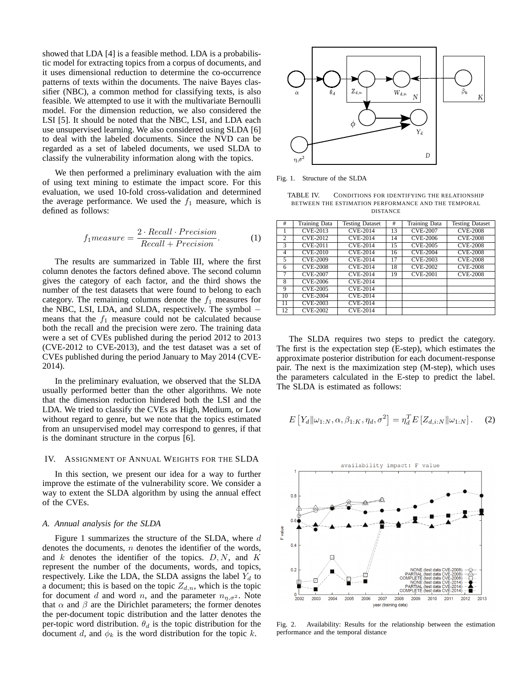showed that LDA [4] is a feasible method. LDA is a probabilistic model for extracting topics from a corpus of documents, and it uses dimensional reduction to determine the co-occurrence patterns of texts within the documents. The naive Bayes classifier (NBC), a common method for classifying texts, is also feasible. We attempted to use it with the multivariate Bernoulli model. For the dimension reduction, we also considered the LSI [5]. It should be noted that the NBC, LSI, and LDA each use unsupervised learning. We also considered using SLDA [6] to deal with the labeled documents. Since the NVD can be regarded as a set of labeled documents, we used SLDA to classify the vulnerability information along with the topics.

We then performed a preliminary evaluation with the aim of using text mining to estimate the impact score. For this evaluation, we used 10-fold cross-validation and determined the average performance. We used the  $f_1$  measure, which is defined as follows:

$$
f_1 measure = \frac{2 \cdot Recall \cdot Precision}{Recall + Precision}.\tag{1}
$$

The results are summarized in Table III, where the first column denotes the factors defined above. The second column gives the category of each factor, and the third shows the number of the test datasets that were found to belong to each category. The remaining columns denote the  $f_1$  measures for the NBC, LSI, LDA, and SLDA, respectively. The symbol *−* means that the  $f_1$  measure could not be calculated because both the recall and the precision were zero. The training data were a set of CVEs published during the period 2012 to 2013 (CVE-2012 to CVE-2013), and the test dataset was a set of CVEs published during the period January to May 2014 (CVE-2014).

In the preliminary evaluation, we observed that the SLDA usually performed better than the other algorithms. We note that the dimension reduction hindered both the LSI and the LDA. We tried to classify the CVEs as High, Medium, or Low without regard to genre, but we note that the topics estimated from an unsupervised model may correspond to genres, if that is the dominant structure in the corpus [6].

#### IV. ASSIGNMENT OF ANNUAL WEIGHTS FOR THE SLDA

In this section, we present our idea for a way to further improve the estimate of the vulnerability score. We consider a way to extent the SLDA algorithm by using the annual effect of the CVEs.

#### *A. Annual analysis for the SLDA*

Figure 1 summarizes the structure of the SLDA, where *d* denotes the documents, *n* denotes the identifier of the words, and *k* denotes the identifier of the topics. *D, N*, and *K* represent the number of the documents, words, and topics, respectively. Like the LDA, the SLDA assigns the label  $Y_d$  to a document; this is based on the topic  $Z_{d,n}$ , which is the topic for document *d* and word *n*, and the parameter  $n_{n,\sigma^2}$ . Note that  $\alpha$  and  $\beta$  are the Dirichlet parameters; the former denotes the per-document topic distribution and the latter denotes the per-topic word distribution.  $\theta_d$  is the topic distribution for the document *d*, and  $\phi_k$  is the word distribution for the topic *k*.



Fig. 1. Structure of the SLDA

TABLE IV. CONDITIONS FOR IDENTIFYING THE RELATIONSHIP BETWEEN THE ESTIMATION PERFORMANCE AND THE TEMPORAL DISTANCE

| #              | <b>Training Data</b> | <b>Testing Dataset</b> | #  | Training Data   | <b>Testing Dataset</b> |
|----------------|----------------------|------------------------|----|-----------------|------------------------|
|                | <b>CVE-2013</b>      | <b>CVE-2014</b>        | 13 | <b>CVE-2007</b> | <b>CVE-2008</b>        |
| $\overline{2}$ | <b>CVE-2012</b>      | <b>CVE-2014</b>        | 14 | <b>CVE-2006</b> | <b>CVE-2008</b>        |
| 3              | <b>CVE-2011</b>      | <b>CVE-2014</b>        | 15 | <b>CVE-2005</b> | <b>CVE-2008</b>        |
| $\overline{4}$ | <b>CVE-2010</b>      | <b>CVE-2014</b>        | 16 | <b>CVE-2004</b> | <b>CVE-2008</b>        |
| 5              | <b>CVE-2009</b>      | <b>CVE-2014</b>        | 17 | <b>CVE-2003</b> | <b>CVE-2008</b>        |
| 6              | <b>CVE-2008</b>      | <b>CVE-2014</b>        | 18 | <b>CVE-2002</b> | <b>CVE-2008</b>        |
| $\overline{7}$ | <b>CVE-2007</b>      | <b>CVE-2014</b>        | 19 | <b>CVE-2001</b> | <b>CVE-2008</b>        |
| 8              | CVE-2006             | <b>CVE-2014</b>        |    |                 |                        |
| 9              | CVE-2005             | <b>CVE-2014</b>        |    |                 |                        |
| 10             | <b>CVE-2004</b>      | CVE-2014               |    |                 |                        |
| 11             | <b>CVE-2003</b>      | CVE-2014               |    |                 |                        |
| 12             | <b>CVE-2002</b>      | <b>CVE-2014</b>        |    |                 |                        |
|                |                      |                        |    |                 |                        |

The SLDA requires two steps to predict the category. The first is the expectation step (E-step), which estimates the approximate posterior distribution for each document-response pair. The next is the maximization step (M-step), which uses the parameters calculated in the E-step to predict the label. The SLDA is estimated as follows:

$$
E\left[Y_d\|\omega_{1:N}, \alpha, \beta_{1:K}, \eta_d, \sigma^2\right] = \eta_d^T E\left[Z_{d,i:N}\|\omega_{1:N}\right].\tag{2}
$$



Fig. 2. Availability: Results for the relationship between the estimation performance and the temporal distance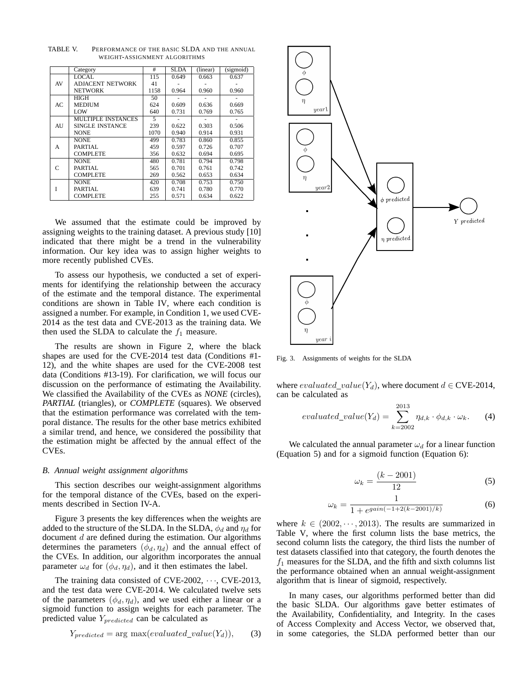|    | Category                  | #    | <b>SLDA</b> | (linear) | (sigmoid) |
|----|---------------------------|------|-------------|----------|-----------|
|    | LOCAL.                    | 115  | 0.649       | 0.663    | 0.637     |
| AV | <b>ADJACENT NETWORK</b>   | 41   |             |          |           |
|    | <b>NETWORK</b>            | 1158 | 0.964       | 0.960    | 0.960     |
|    | <b>HIGH</b>               | 50   |             |          |           |
| AC | <b>MEDIUM</b>             | 624  | 0.609       | 0.636    | 0.669     |
|    | <b>LOW</b>                | 640  | 0.731       | 0.769    | 0.765     |
|    | <b>MULTIPLE INSTANCES</b> | 5    |             |          |           |
| AU | SINGLE INSTANCE           | 239  | 0.622       | 0.303    | 0.506     |
|    | <b>NONE</b>               | 1070 | 0.940       | 0.914    | 0.931     |
|    | <b>NONE</b>               | 499  | 0.783       | 0.860    | 0.855     |
| A  | PARTIAL                   | 459  | 0.597       | 0.726    | 0.707     |
|    | <b>COMPLETE</b>           | 356  | 0.632       | 0.694    | 0.695     |
|    | <b>NONE</b>               | 480  | 0.781       | 0.794    | 0.798     |
| C  | PARTIAL                   | 565  | 0.701       | 0.761    | 0.742     |
|    | <b>COMPLETE</b>           | 269  | 0.562       | 0.653    | 0.634     |
|    | <b>NONE</b>               | 420  | 0.708       | 0.753    | 0.750     |
| Ī  | PARTIAL                   | 639  | 0.741       | 0.780    | 0.770     |
|    | <b>COMPLETE</b>           | 255  | 0.571       | 0.634    | 0.622     |

TABLE V. PERFORMANCE OF THE BASIC SLDA AND THE ANNUAL WEIGHT-ASSIGNMENT ALGORITHMS

We assumed that the estimate could be improved by assigning weights to the training dataset. A previous study [10] indicated that there might be a trend in the vulnerability information. Our key idea was to assign higher weights to more recently published CVEs.

To assess our hypothesis, we conducted a set of experiments for identifying the relationship between the accuracy of the estimate and the temporal distance. The experimental conditions are shown in Table IV, where each condition is assigned a number. For example, in Condition 1, we used CVE-2014 as the test data and CVE-2013 as the training data. We then used the SLDA to calculate the  $f_1$  measure.

The results are shown in Figure 2, where the black shapes are used for the CVE-2014 test data (Conditions #1- 12), and the white shapes are used for the CVE-2008 test data (Conditions #13-19). For clarification, we will focus our discussion on the performance of estimating the Availability. We classified the Availability of the CVEs as *NONE* (circles), *PARTIAL* (triangles), or *COMPLETE* (squares). We observed that the estimation performance was correlated with the temporal distance. The results for the other base metrics exhibited a similar trend, and hence, we considered the possibility that the estimation might be affected by the annual effect of the CVEs.

## *B. Annual weight assignment algorithms*

This section describes our weight-assignment algorithms for the temporal distance of the CVEs, based on the experiments described in Section IV-A.

Figure 3 presents the key differences when the weights are added to the structure of the SLDA. In the SLDA,  $\phi_d$  and  $\eta_d$  for document *d* are defined during the estimation. Our algorithms determines the parameters  $(\phi_d, \eta_d)$  and the annual effect of the CVEs. In addition, our algorithm incorporates the annual parameter  $\omega_d$  for  $(\phi_d, \eta_d)$ , and it then estimates the label.

The training data consisted of CVE-2002, *· · ·*, CVE-2013, and the test data were CVE-2014. We calculated twelve sets of the parameters  $(\phi_d, \eta_d)$ , and we used either a linear or a sigmoid function to assign weights for each parameter. The predicted value *Ypredicted* can be calculated as

$$
Y_{predicted} = \arg \max(evaluate d\_value(Y_d)), \qquad (3)
$$



Fig. 3. Assignments of weights for the SLDA

where  $evaluated\_value(Y_d)$ , where document  $d \in$  CVE-2014, can be calculated as

$$
evaluated\_value(Y_d) = \sum_{k=2002}^{2013} \eta_{d,k} \cdot \phi_{d,k} \cdot \omega_k. \tag{4}
$$

We calculated the annual parameter  $\omega_d$  for a linear function (Equation 5) and for a sigmoid function (Equation 6):

$$
\omega_k = \frac{(k - 2001)}{12} \tag{5}
$$

$$
\omega_k = \frac{1}{1 + e^{gain(-1 + 2(k - 2001)/k)}}\tag{6}
$$

where  $k \in (2002, \dots, 2013)$ . The results are summarized in Table V, where the first column lists the base metrics, the second column lists the category, the third lists the number of test datasets classified into that category, the fourth denotes the  $f_1$  measures for the SLDA, and the fifth and sixth columns list the performance obtained when an annual weight-assignment algorithm that is linear of sigmoid, respectively.

In many cases, our algorithms performed better than did the basic SLDA. Our algorithms gave better estimates of the Availability, Confidentiality, and Integrity. In the cases of Access Complexity and Access Vector, we observed that, in some categories, the SLDA performed better than our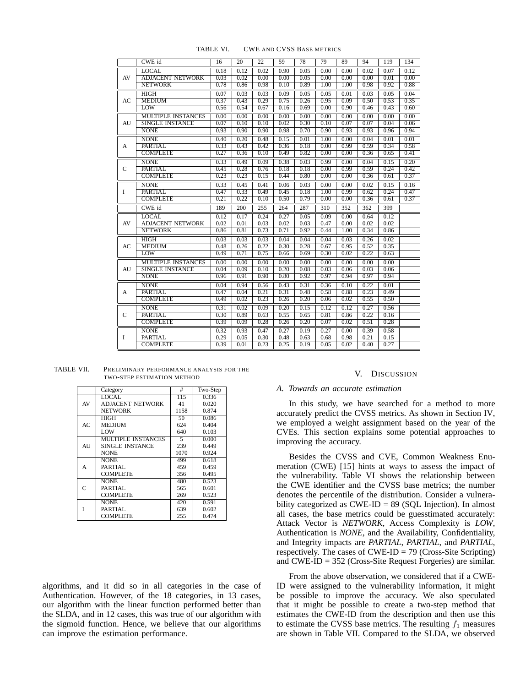|              | CWE id                    | 16   | $\overline{20}$ | $\overline{22}$ | 59   | 78   | 79   | 89   | 94   | 119  | 134  |
|--------------|---------------------------|------|-----------------|-----------------|------|------|------|------|------|------|------|
|              | <b>LOCAL</b>              | 0.18 | 0.12            | 0.02            | 0.90 | 0.05 | 0.00 | 0.00 | 0.02 | 0.07 | 0.12 |
| AV           | <b>ADJACENT NETWORK</b>   | 0.03 | 0.02            | 0.00            | 0.00 | 0.05 | 0.00 | 0.00 | 0.00 | 0.01 | 0.00 |
|              | <b>NETWORK</b>            | 0.78 | 0.86            | 0.98            | 0.10 | 0.89 | 1.00 | 1.00 | 0.98 | 0.92 | 0.88 |
|              | HIGH                      | 0.07 | 0.03            | 0.03            | 0.09 | 0.05 | 0.05 | 0.01 | 0.03 | 0.05 | 0.04 |
| AC           | <b>MEDIUM</b>             | 0.37 | 0.43            | 0.29            | 0.75 | 0.26 | 0.95 | 0.09 | 0.50 | 0.53 | 0.35 |
|              | LOW                       | 0.56 | 0.54            | 0.67            | 0.16 | 0.69 | 0.00 | 0.90 | 0.46 | 0.43 | 0.60 |
|              | <b>MULTIPLE INSTANCES</b> | 0.00 | 0.00            | 0.00            | 0.00 | 0.00 | 0.00 | 0.00 | 0.00 | 0.00 | 0.00 |
| AU           | <b>SINGLE INSTANCE</b>    | 0.07 | 0.10            | 0.10            | 0.02 | 0.30 | 0.10 | 0.07 | 0.07 | 0.04 | 0.06 |
|              | <b>NONE</b>               | 0.93 | 0.90            | 0.90            | 0.98 | 0.70 | 0.90 | 0.93 | 0.93 | 0.96 | 0.94 |
|              | <b>NONE</b>               | 0.40 | 0.20            | 0.48            | 0.15 | 0.01 | 1.00 | 0.00 | 0.04 | 0.01 | 0.01 |
| A            | <b>PARTIAL</b>            | 0.33 | 0.43            | 0.42            | 0.36 | 0.18 | 0.00 | 0.99 | 0.59 | 0.34 | 0.58 |
|              | <b>COMPLETE</b>           | 0.27 | 0.36            | 0.10            | 0.49 | 0.82 | 0.00 | 0.00 | 0.36 | 0.65 | 0.41 |
|              | <b>NONE</b>               | 0.33 | 0.49            | 0.09            | 0.38 | 0.03 | 0.99 | 0.00 | 0.04 | 0.15 | 0.20 |
| $\mathsf{C}$ | <b>PARTIAL</b>            | 0.45 | 0.28            | 0.76            | 0.18 | 0.18 | 0.00 | 0.99 | 0.59 | 0.24 | 0.42 |
|              | <b>COMPLETE</b>           | 0.23 | 0.23            | 0.15            | 0.44 | 0.80 | 0.00 | 0.00 | 0.36 | 0.61 | 0.37 |
|              | <b>NONE</b>               | 0.33 | 0.45            | 0.41            | 0.06 | 0.03 | 0.00 | 0.00 | 0.02 | 0.15 | 0.16 |
| <b>I</b>     | <b>PARTIAL</b>            | 0.47 | 0.33            | 0.49            | 0.45 | 0.18 | 1.00 | 0.99 | 0.62 | 0.24 | 0.47 |
|              | <b>COMPLETE</b>           | 0.21 | 0.22            | 0.10            | 0.50 | 0.79 | 0.00 | 0.00 | 0.36 | 0.61 | 0.37 |
|              | CWE id                    | 189  | 200             | 255             | 264  | 287  | 310  | 352  | 362  | 399  |      |
|              | <b>LOCAL</b>              | 0.12 | 0.17            | 0.24            | 0.27 | 0.05 | 0.09 | 0.00 | 0.64 | 0.12 |      |
| AV           | <b>ADJACENT NETWORK</b>   | 0.02 | 0.01            | 0.03            | 0.02 | 0.03 | 0.47 | 0.00 | 0.02 | 0.02 |      |
|              | <b>NETWORK</b>            | 0.86 | 0.81            | 0.73            | 0.71 | 0.92 | 0.44 | 1.00 | 0.34 | 0.86 |      |
|              | <b>HIGH</b>               | 0.03 | 0.03            | 0.03            | 0.04 | 0.04 | 0.04 | 0.03 | 0.26 | 0.02 |      |
| AC           | <b>MEDIUM</b>             | 0.48 | 0.26            | 0.22            | 0.30 | 0.28 | 0.67 | 0.95 | 0.52 | 0.35 |      |
|              | LOW                       | 0.49 | 0.71            | 0.75            | 0.66 | 0.69 | 0.30 | 0.02 | 0.22 | 0.63 |      |
|              | <b>MULTIPLE INSTANCES</b> | 0.00 | 0.00            | 0.00            | 0.00 | 0.00 | 0.00 | 0.00 | 0.00 | 0.00 |      |
| AU           | <b>SINGLE INSTANCE</b>    | 0.04 | 0.09            | 0.10            | 0.20 | 0.08 | 0.03 | 0.06 | 0.03 | 0.06 |      |
|              | <b>NONE</b>               | 0.96 | 0.91            | 0.90            | 0.80 | 0.92 | 0.97 | 0.94 | 0.97 | 0.94 |      |
|              | <b>NONE</b>               | 0.04 | 0.94            | 0.56            | 0.43 | 0.31 | 0.36 | 0.10 | 0.22 | 0.01 |      |
| A            | <b>PARTIAL</b>            | 0.47 | 0.04            | 0.21            | 0.31 | 0.48 | 0.58 | 0.88 | 0.23 | 0.49 |      |
|              | <b>COMPLETE</b>           | 0.49 | 0.02            | 0.23            | 0.26 | 0.20 | 0.06 | 0.02 | 0.55 | 0.50 |      |
| $\mathbf C$  | <b>NONE</b>               | 0.31 | 0.02            | 0.09            | 0.20 | 0.15 | 0.12 | 0.12 | 0.27 | 0.56 |      |
|              | <b>PARTIAL</b>            | 0.30 | 0.89            | 0.63            | 0.55 | 0.65 | 0.81 | 0.86 | 0.22 | 0.16 |      |
|              | <b>COMPLETE</b>           | 0.39 | 0.09            | 0.28            | 0.26 | 0.20 | 0.07 | 0.02 | 0.51 | 0.28 |      |
|              | <b>NONE</b>               | 0.32 | 0.93            | 0.47            | 0.27 | 0.19 | 0.27 | 0.00 | 0.39 | 0.58 |      |
| $\bf I$      | <b>PARTIAL</b>            | 0.29 | 0.05            | 0.30            | 0.48 | 0.63 | 0.68 | 0.98 | 0.21 | 0.15 |      |
|              | <b>COMPLETE</b>           | 0.39 | 0.01            | 0.23            | 0.25 | 0.19 | 0.05 | 0.02 | 0.40 | 0.27 |      |

TABLE VI. CWE AND CVSS BASE METRICS

| TABLE VII. | PRELIMINARY PERFORMANCE ANALYSIS FOR THE |
|------------|------------------------------------------|
|            | TWO-STEP ESTIMATION METHOD               |

|               | Category                  | #    | Two-Step |
|---------------|---------------------------|------|----------|
|               | LOCAL.                    | 115  | 0.336    |
| AV            | <b>ADJACENT NETWORK</b>   | 41   | 0.020    |
|               | <b>NETWORK</b>            | 1158 | 0.874    |
|               | <b>HIGH</b>               | 50   | 0.086    |
| AC            | <b>MEDIUM</b>             | 624  | 0.404    |
|               | LOW                       | 640  | 0.103    |
|               | <b>MULTIPLE INSTANCES</b> | 5    | 0.000    |
| AU            | SINGLE INSTANCE           | 239  | 0.449    |
|               | <b>NONE</b>               | 1070 | 0.924    |
|               | <b>NONE</b>               | 499  | 0.618    |
| A             | PARTIAL.                  | 459  | 0.459    |
|               | <b>COMPLETE</b>           | 356  | 0.495    |
|               | <b>NONE</b>               | 480  | 0.523    |
| $\mathcal{C}$ | PARTIAL.                  | 565  | 0.601    |
|               | <b>COMPLETE</b>           | 269  | 0.523    |
|               | <b>NONE</b>               | 420  | 0.591    |
| Ĭ             | PARTIAL.                  | 639  | 0.602    |
|               | <b>COMPLETE</b>           | 255  | 0.474    |

algorithms, and it did so in all categories in the case of Authentication. However, of the 18 categories, in 13 cases, our algorithm with the linear function performed better than the SLDA, and in 12 cases, this was true of our algorithm with the sigmoid function. Hence, we believe that our algorithms can improve the estimation performance.

# V. DISCUSSION

## *A. Towards an accurate estimation*

In this study, we have searched for a method to more accurately predict the CVSS metrics. As shown in Section IV, we employed a weight assignment based on the year of the CVEs. This section explains some potential approaches to improving the accuracy.

Besides the CVSS and CVE, Common Weakness Enumeration (CWE) [15] hints at ways to assess the impact of the vulnerability. Table VI shows the relationship between the CWE identifier and the CVSS base metrics; the number denotes the percentile of the distribution. Consider a vulnerability categorized as CWE-ID = 89 (SQL Injection). In almost all cases, the base metrics could be guesstimated accurately: Attack Vector is *NETWORK*, Access Complexity is *LOW*, Authentication is *NONE*, and the Availability, Confidentiality, and Integrity impacts are *PARTIAL*, *PARTIAL*, and *PARTIAL*, respectively. The cases of  $CWE-ID = 79$  (Cross-Site Scripting) and CWE-ID = 352 (Cross-Site Request Forgeries) are similar.

From the above observation, we considered that if a CWE-ID were assigned to the vulnerability information, it might be possible to improve the accuracy. We also speculated that it might be possible to create a two-step method that estimates the CWE-ID from the description and then use this to estimate the CVSS base metrics. The resulting  $f_1$  measures are shown in Table VII. Compared to the SLDA, we observed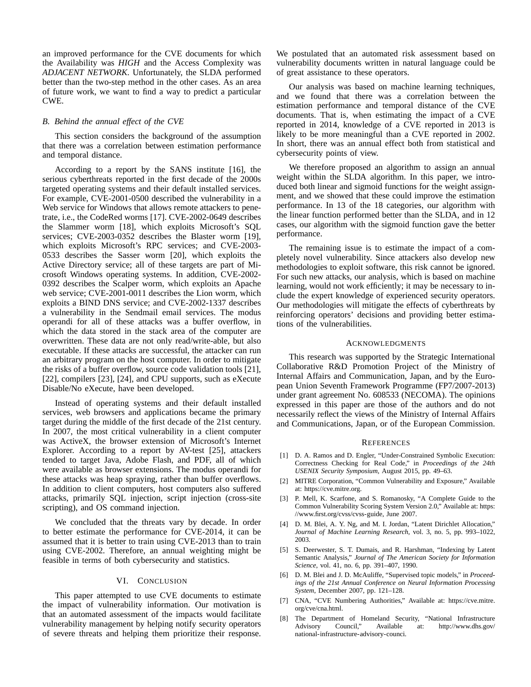an improved performance for the CVE documents for which the Availability was *HIGH* and the Access Complexity was *ADJACENT NETWORK*. Unfortunately, the SLDA performed better than the two-step method in the other cases. As an area of future work, we want to find a way to predict a particular CWE.

# *B. Behind the annual effect of the CVE*

This section considers the background of the assumption that there was a correlation between estimation performance and temporal distance.

According to a report by the SANS institute [16], the serious cyberthreats reported in the first decade of the 2000s targeted operating systems and their default installed services. For example, CVE-2001-0500 described the vulnerability in a Web service for Windows that allows remote attackers to penetrate, i.e., the CodeRed worms [17]. CVE-2002-0649 describes the Slammer worm [18], which exploits Microsoft's SQL services; CVE-2003-0352 describes the Blaster worm [19], which exploits Microsoft's RPC services; and CVE-2003- 0533 describes the Sasser worm [20], which exploits the Active Directory service; all of these targets are part of Microsoft Windows operating systems. In addition, CVE-2002- 0392 describes the Scalper worm, which exploits an Apache web service; CVE-2001-0011 describes the Lion worm, which exploits a BIND DNS service; and CVE-2002-1337 describes a vulnerability in the Sendmail email services. The modus operandi for all of these attacks was a buffer overflow, in which the data stored in the stack area of the computer are overwritten. These data are not only read/write-able, but also executable. If these attacks are successful, the attacker can run an arbitrary program on the host computer. In order to mitigate the risks of a buffer overflow, source code validation tools [21], [22], compilers [23], [24], and CPU supports, such as eXecute Disable/No eXecute, have been developed.

Instead of operating systems and their default installed services, web browsers and applications became the primary target during the middle of the first decade of the 21st century. In 2007, the most critical vulnerability in a client computer was ActiveX, the browser extension of Microsoft's Internet Explorer. According to a report by AV-test [25], attackers tended to target Java, Adobe Flash, and PDF, all of which were available as browser extensions. The modus operandi for these attacks was heap spraying, rather than buffer overflows. In addition to client computers, host computers also suffered attacks, primarily SQL injection, script injection (cross-site scripting), and OS command injection.

We concluded that the threats vary by decade. In order to better estimate the performance for CVE-2014, it can be assumed that it is better to train using CVE-2013 than to train using CVE-2002. Therefore, an annual weighting might be feasible in terms of both cybersecurity and statistics.

## VI. CONCLUSION

This paper attempted to use CVE documents to estimate the impact of vulnerability information. Our motivation is that an automated assessment of the impacts would facilitate vulnerability management by helping notify security operators of severe threats and helping them prioritize their response.

We postulated that an automated risk assessment based on vulnerability documents written in natural language could be of great assistance to these operators.

Our analysis was based on machine learning techniques, and we found that there was a correlation between the estimation performance and temporal distance of the CVE documents. That is, when estimating the impact of a CVE reported in 2014, knowledge of a CVE reported in 2013 is likely to be more meaningful than a CVE reported in 2002. In short, there was an annual effect both from statistical and cybersecurity points of view.

We therefore proposed an algorithm to assign an annual weight within the SLDA algorithm. In this paper, we introduced both linear and sigmoid functions for the weight assignment, and we showed that these could improve the estimation performance. In 13 of the 18 categories, our algorithm with the linear function performed better than the SLDA, and in 12 cases, our algorithm with the sigmoid function gave the better performance.

The remaining issue is to estimate the impact of a completely novel vulnerability. Since attackers also develop new methodologies to exploit software, this risk cannot be ignored. For such new attacks, our analysis, which is based on machine learning, would not work efficiently; it may be necessary to include the expert knowledge of experienced security operators. Our methodologies will mitigate the effects of cyberthreats by reinforcing operators' decisions and providing better estimations of the vulnerabilities.

## ACKNOWLEDGMENTS

This research was supported by the Strategic International Collaborative R&D Promotion Project of the Ministry of Internal Affairs and Communication, Japan, and by the European Union Seventh Framework Programme (FP7/2007-2013) under grant agreement No. 608533 (NECOMA). The opinions expressed in this paper are those of the authors and do not necessarily reflect the views of the Ministry of Internal Affairs and Communications, Japan, or of the European Commission.

#### **REFERENCES**

- [1] D. A. Ramos and D. Engler, "Under-Constrained Symbolic Execution: Correctness Checking for Real Code," in *Proceedings of the 24th USENIX Security Symposium*, August 2015, pp. 49–63.
- [2] MITRE Corporation, "Common Vulnerability and Exposure," Available at: https://cve.mitre.org.
- [3] P. Mell, K. Scarfone, and S. Romanosky, "A Complete Guide to the Common Vulnerability Scoring System Version 2.0," Available at: https: //www.first.org/cvss/cvss-guide, June 2007.
- [4] D. M. Blei, A. Y. Ng, and M. I. Jordan, "Latent Dirichlet Allocation," *Journal of Machine Learning Research*, vol. 3, no. 5, pp. 993–1022, 2003.
- [5] S. Deerwester, S. T. Dumais, and R. Harshman, "Indexing by Latent Semantic Analysis," *Journal of The American Society for Information Science*, vol. 41, no. 6, pp. 391–407, 1990.
- [6] D. M. Blei and J. D. McAuliffe, "Supervised topic models," in *Proceedings of the 21st Annual Conference on Neural Information Processing System*, December 2007, pp. 121–128.
- [7] CNA, "CVE Numbering Authorities," Available at: https://cve.mitre. org/cve/cna.html.
- [8] The Department of Homeland Security, "National Infrastructure Advisory Council," Available at: http://www.dhs.gov/ national-infrastructure-advisory-counci.